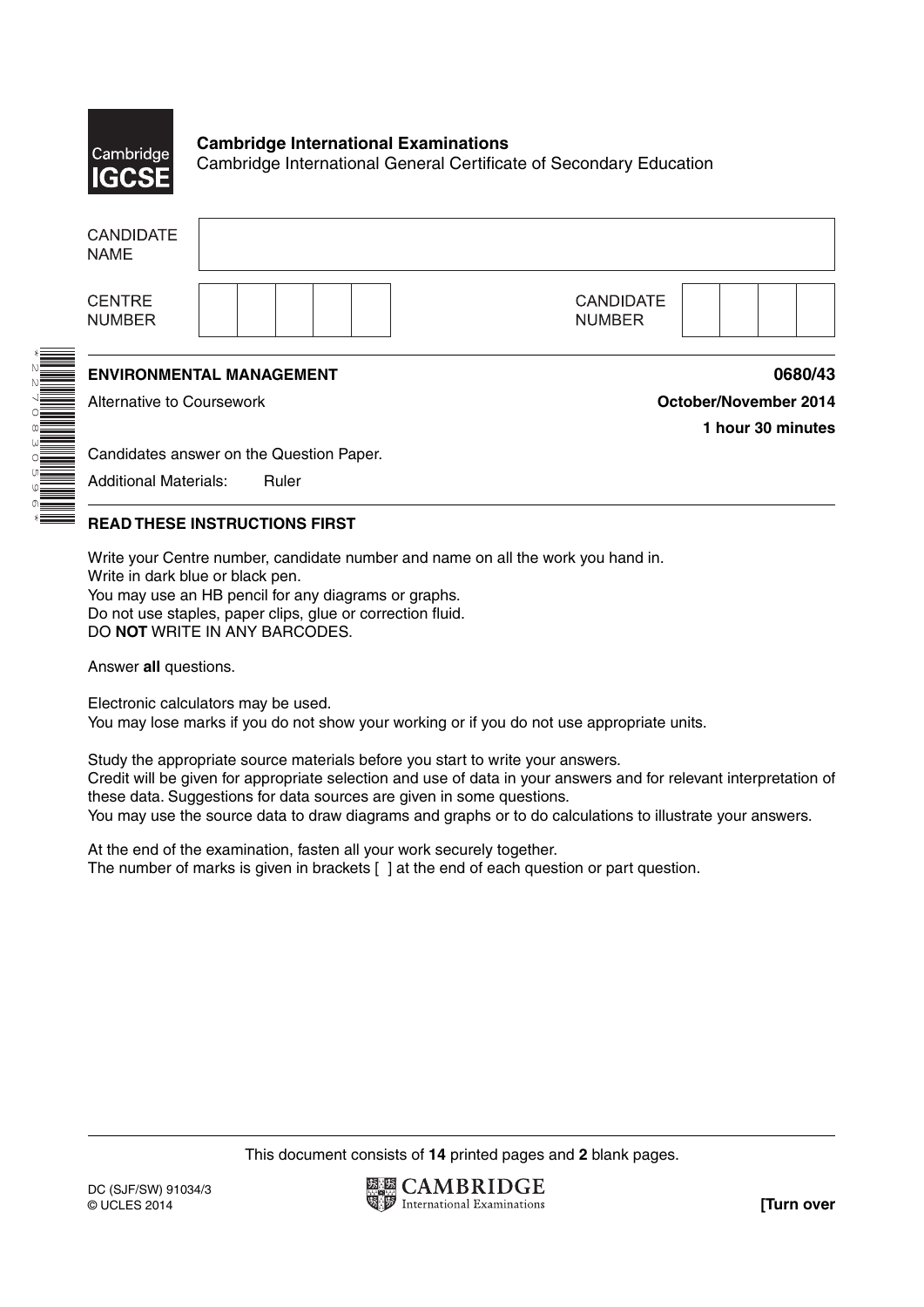

\*2270830596\*

## **Cambridge International Examinations** Cambridge International General Certificate of Secondary Education

| <b>CANDIDATE</b><br><b>NAME</b>  |                                          |                                   |
|----------------------------------|------------------------------------------|-----------------------------------|
| <b>CENTRE</b><br><b>NUMBER</b>   |                                          | <b>CANDIDATE</b><br><b>NUMBER</b> |
|                                  | <b>ENVIRONMENTAL MANAGEMENT</b>          | 0680/43                           |
| <b>Alternative to Coursework</b> |                                          | October/November 2014             |
|                                  |                                          | 1 hour 30 minutes                 |
|                                  |                                          |                                   |
|                                  | Candidates answer on the Question Paper. |                                   |

## **READ THESE INSTRUCTIONS FIRST**

Write your Centre number, candidate number and name on all the work you hand in. Write in dark blue or black pen. You may use an HB pencil for any diagrams or graphs. Do not use staples, paper clips, glue or correction fluid. DO **NOT** WRITE IN ANY BARCODES.

Answer **all** questions.

Electronic calculators may be used. You may lose marks if you do not show your working or if you do not use appropriate units.

Study the appropriate source materials before you start to write your answers. Credit will be given for appropriate selection and use of data in your answers and for relevant interpretation of these data. Suggestions for data sources are given in some questions. You may use the source data to draw diagrams and graphs or to do calculations to illustrate your answers.

At the end of the examination, fasten all your work securely together. The number of marks is given in brackets [ ] at the end of each question or part question.

This document consists of **14** printed pages and **2** blank pages.

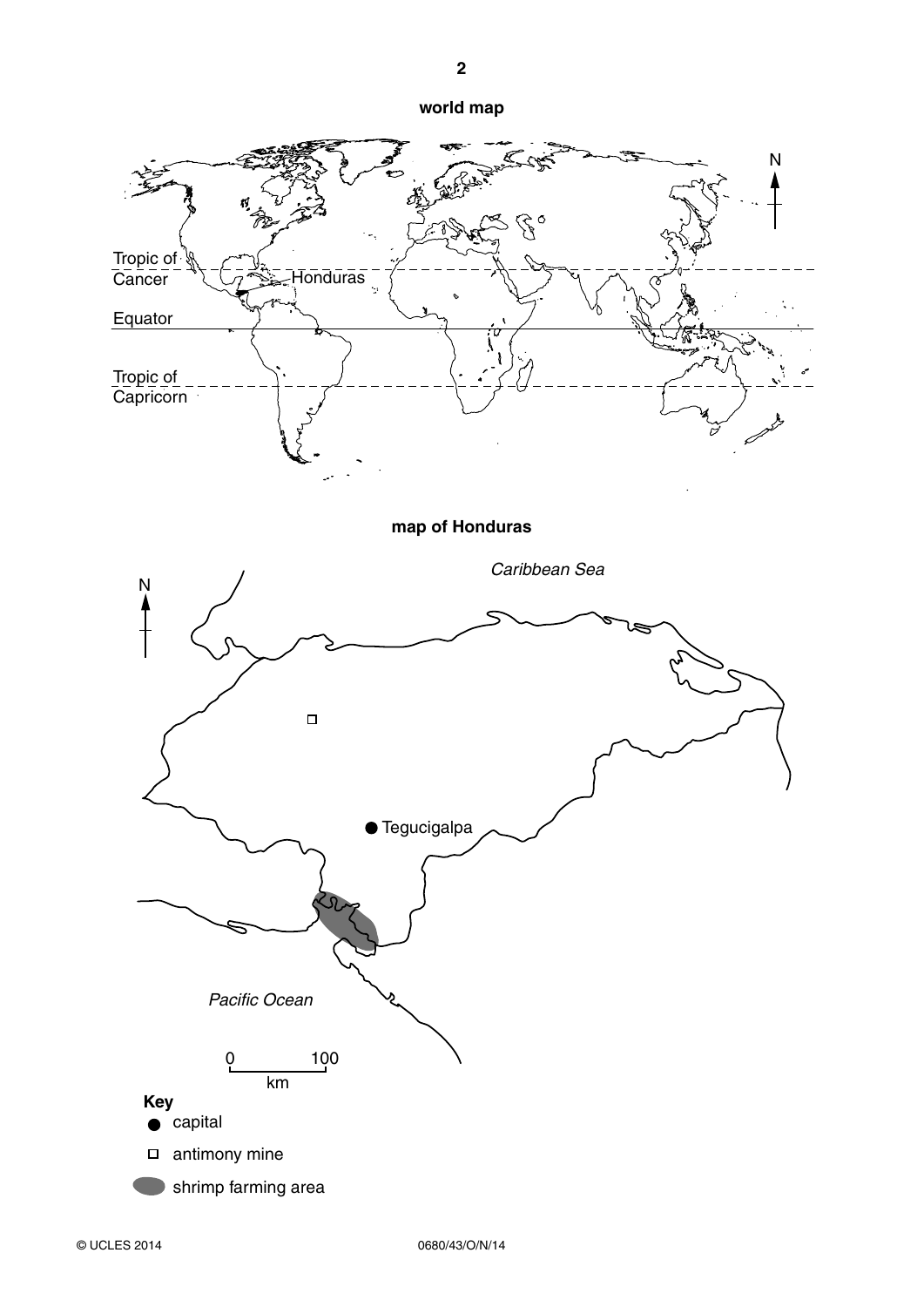**world map**

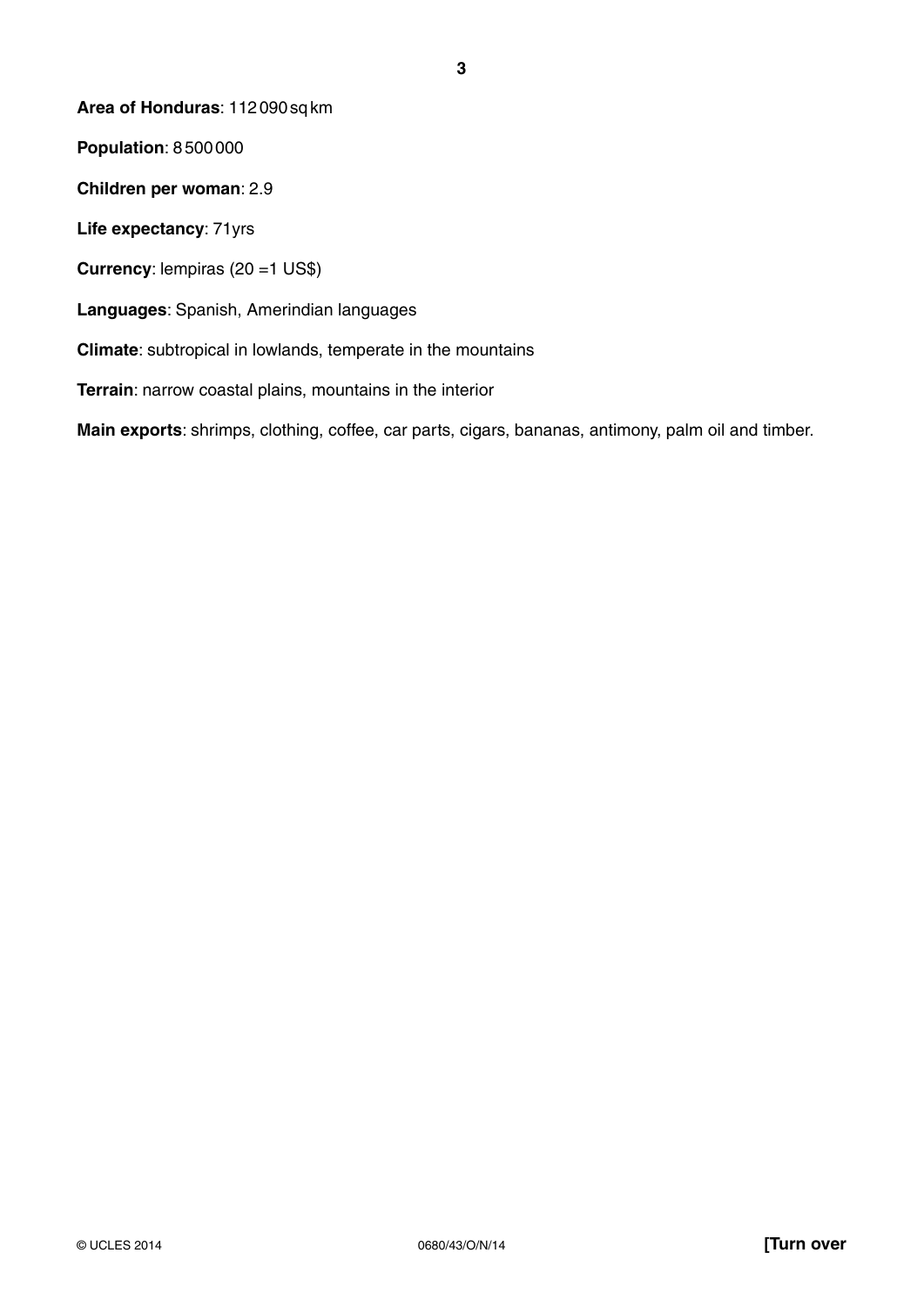**Area of Honduras**: 112 090 sq km

**Population**: 8 500 000

**Children per woman**: 2.9

**Life expectancy**: 71yrs

**Currency**: lempiras (20 =1 US\$)

**Languages**: Spanish, Amerindian languages

**Climate**: subtropical in lowlands, temperate in the mountains

**Terrain**: narrow coastal plains, mountains in the interior

**Main exports**: shrimps, clothing, coffee, car parts, cigars, bananas, antimony, palm oil and timber.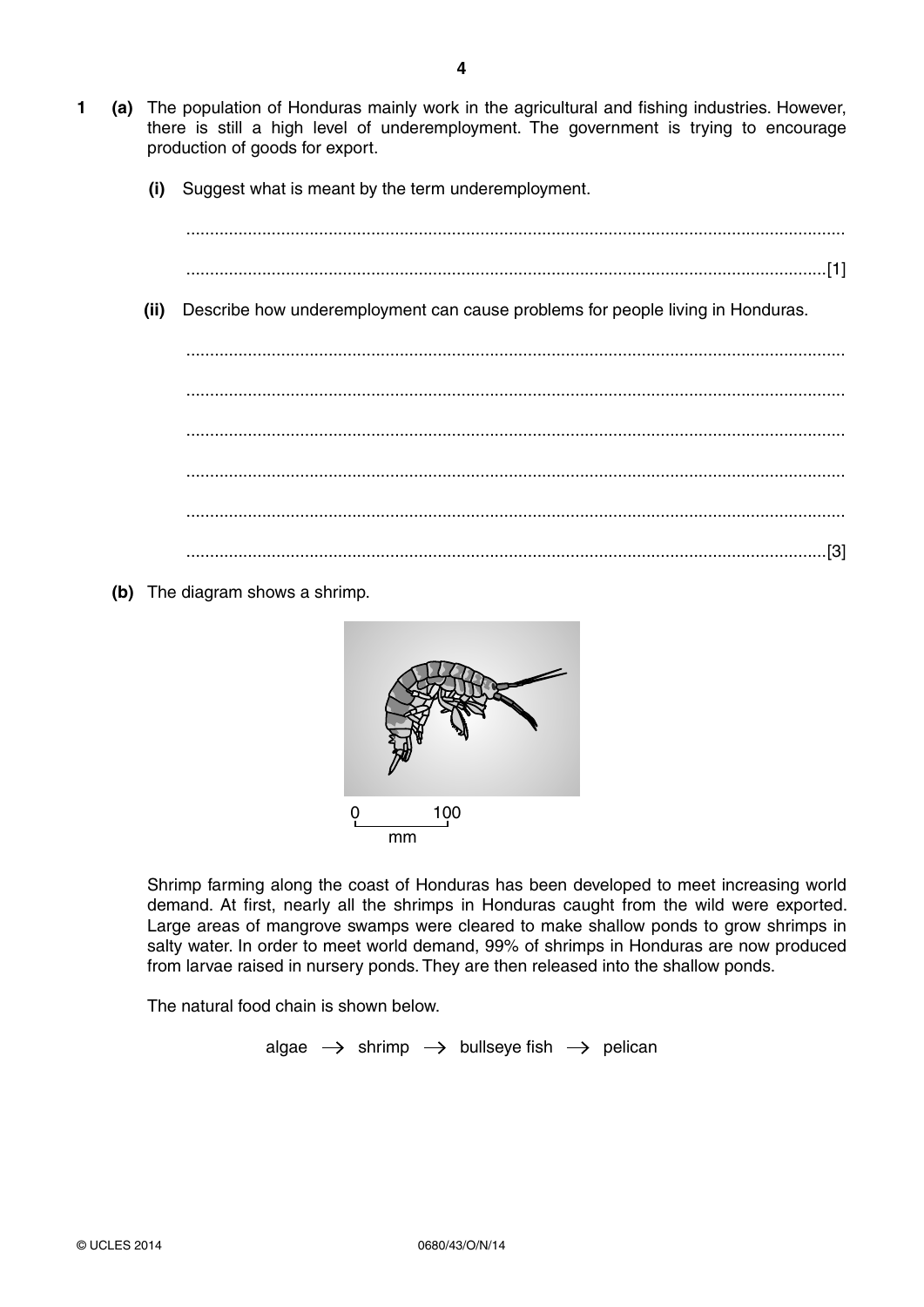- **1 (a)** The population of Honduras mainly work in the agricultural and fishing industries. However, there is still a high level of underemployment. The government is trying to encourage production of goods for export.
	- **(i)** Suggest what is meant by the term underemployment.



 **(b)** The diagram shows a shrimp.



Shrimp farming along the coast of Honduras has been developed to meet increasing world demand. At first, nearly all the shrimps in Honduras caught from the wild were exported. Large areas of mangrove swamps were cleared to make shallow ponds to grow shrimps in salty water. In order to meet world demand, 99% of shrimps in Honduras are now produced from larvae raised in nursery ponds. They are then released into the shallow ponds.

The natural food chain is shown below.

algae  $\rightarrow$  shrimp  $\rightarrow$  bullseye fish  $\rightarrow$  pelican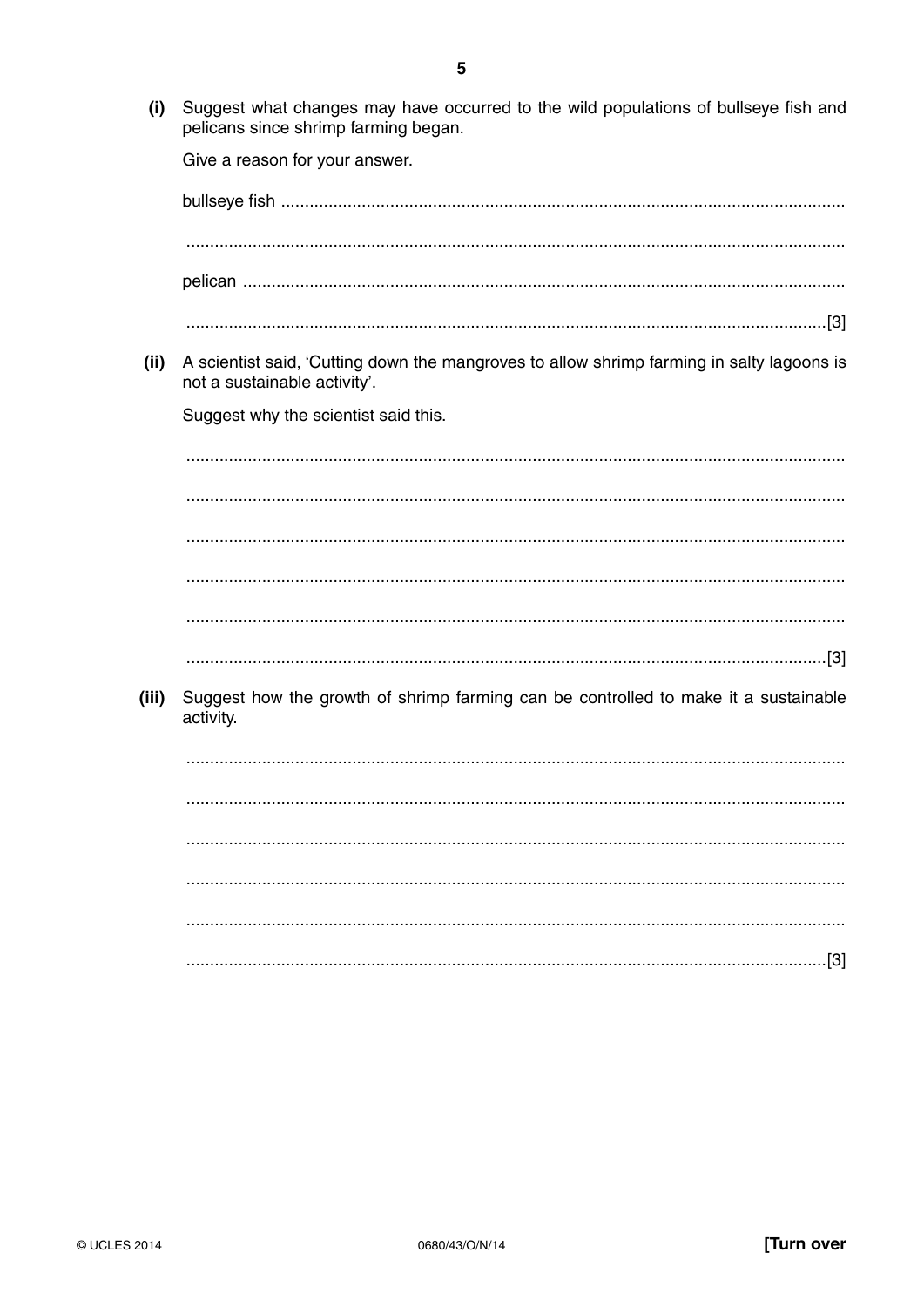$(i)$ Suggest what changes may have occurred to the wild populations of bullseye fish and pelicans since shrimp farming began.

Give a reason for your answer. A scientist said, 'Cutting down the mangroves to allow shrimp farming in salty lagoons is  $(ii)$ not a sustainable activity'. Suggest why the scientist said this. (iii) Suggest how the growth of shrimp farming can be controlled to make it a sustainable activity.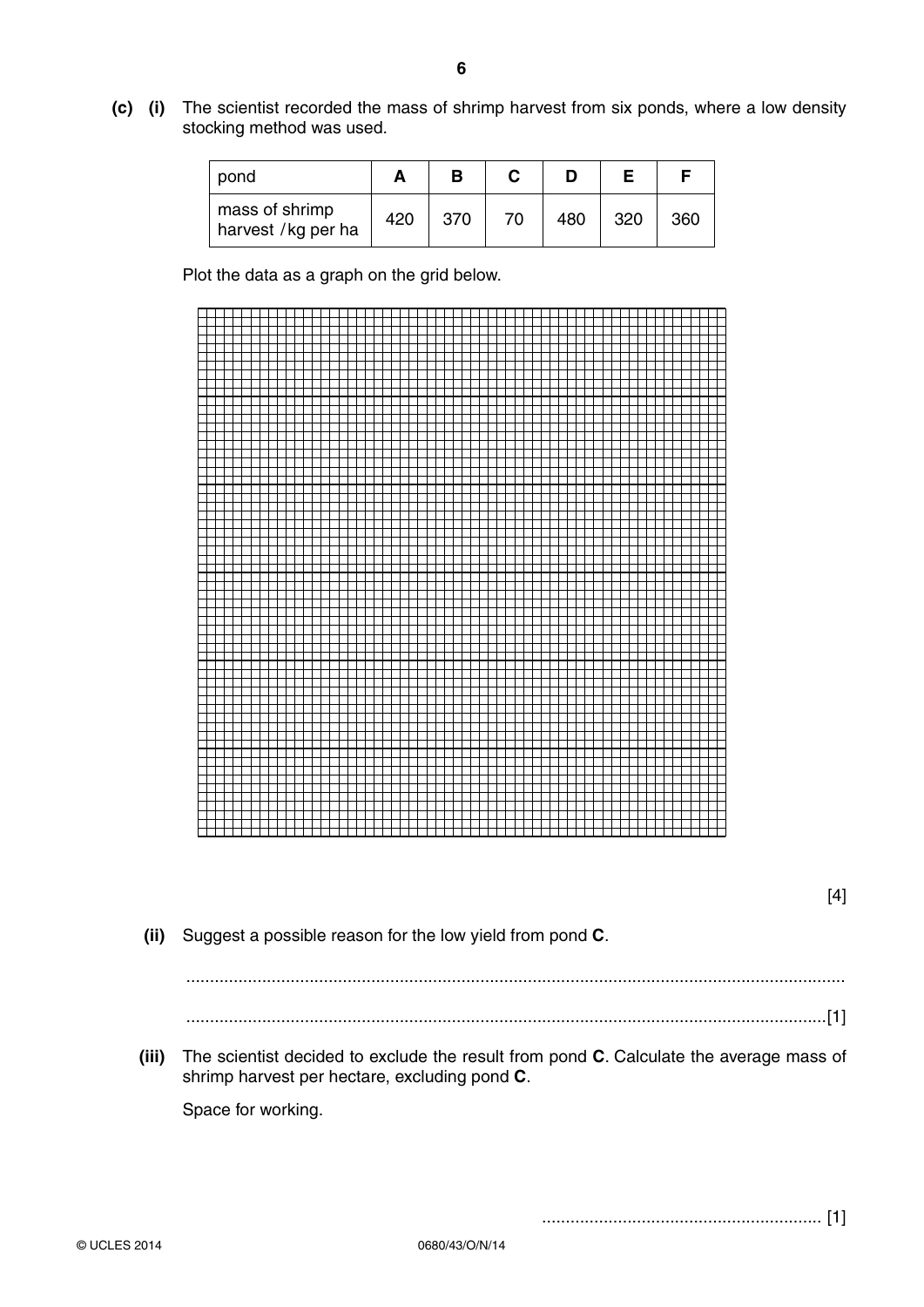**(c) (i)** The scientist recorded the mass of shrimp harvest from six ponds, where a low density stocking method was used.

| pond                                 |     |     |    |     |     |     |
|--------------------------------------|-----|-----|----|-----|-----|-----|
| mass of shrimp<br>harvest /kg per ha | 420 | 370 | 70 | 480 | 320 | 360 |

Plot the data as a graph on the grid below.



[4]

 **(ii)** Suggest a possible reason for the low yield from pond **C**.

 ........................................................................................................................................... .......................................................................................................................................[1]

 **(iii)** The scientist decided to exclude the result from pond **C**. Calculate the average mass of shrimp harvest per hectare, excluding pond **C**.

Space for working.

........................................................... [1]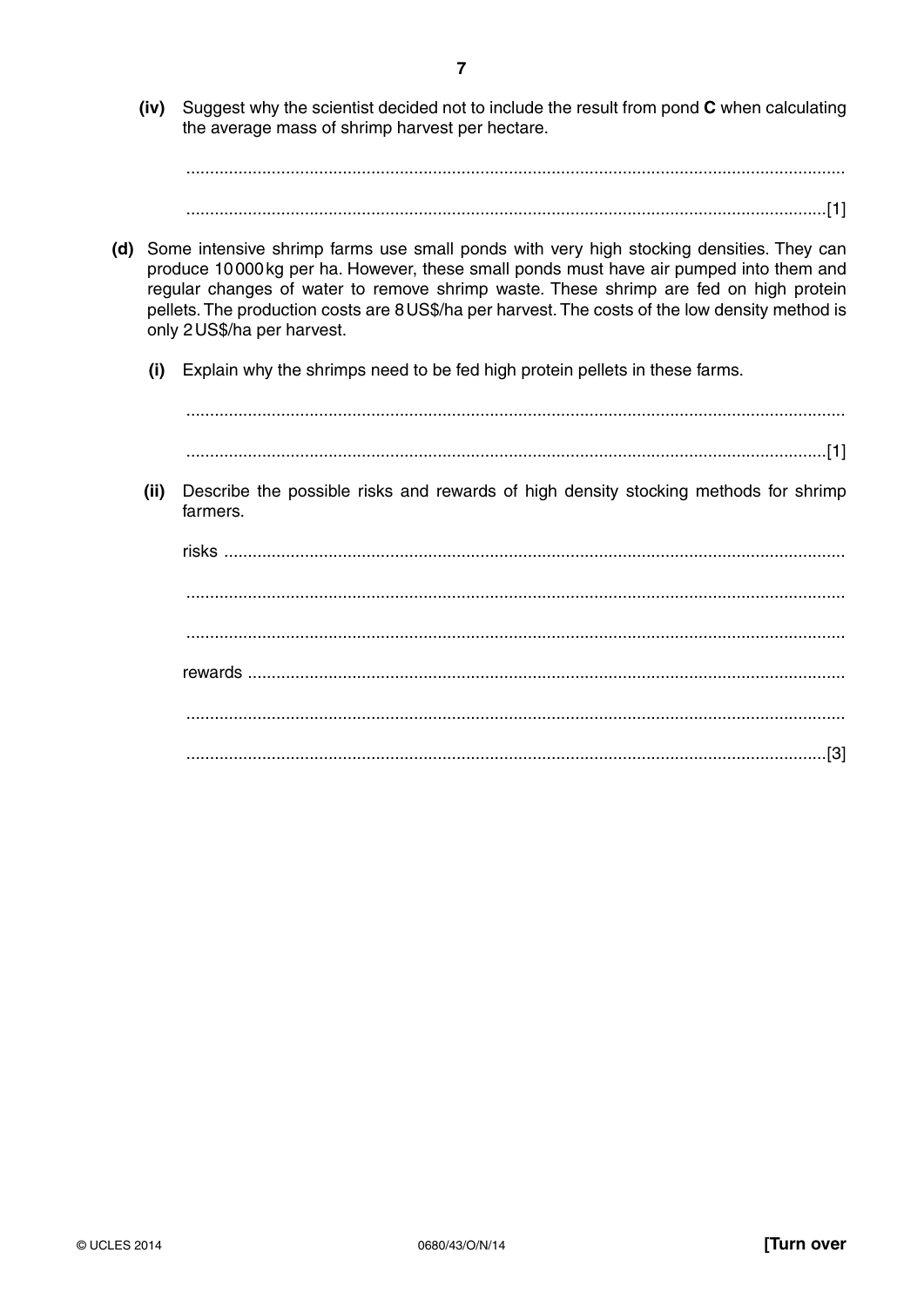**(iv)** Suggest why the scientist decided not to include the result from pond **C** when calculating the average mass of shrimp harvest per hectare.

 ........................................................................................................................................... .......................................................................................................................................[1]

- **(d)** Some intensive shrimp farms use small ponds with very high stocking densities. They can produce 10 000 kg per ha. However, these small ponds must have air pumped into them and regular changes of water to remove shrimp waste. These shrimp are fed on high protein pellets. The production costs are 8 US\$/ha per harvest. The costs of the low density method is only 2 US\$/ha per harvest.
	- **(i)** Explain why the shrimps need to be fed high protein pellets in these farms.

 ........................................................................................................................................... .......................................................................................................................................[1]  **(ii)** Describe the possible risks and rewards of high density stocking methods for shrimp farmers. risks ................................................................................................................................... ........................................................................................................................................... ........................................................................................................................................... rewards .............................................................................................................................. ........................................................................................................................................... .......................................................................................................................................[3]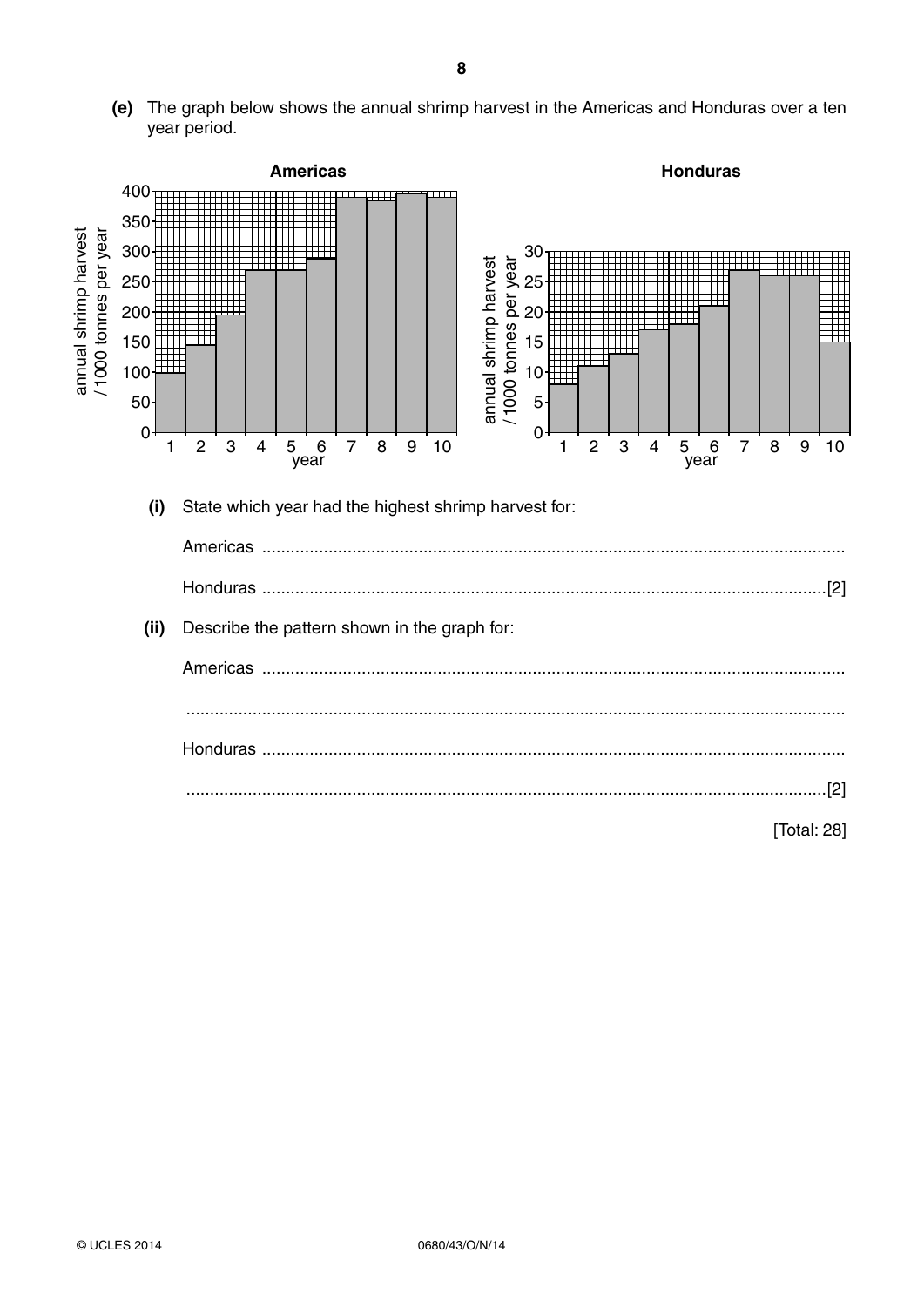**(e)** The graph below shows the annual shrimp harvest in the Americas and Honduras over a ten year period.

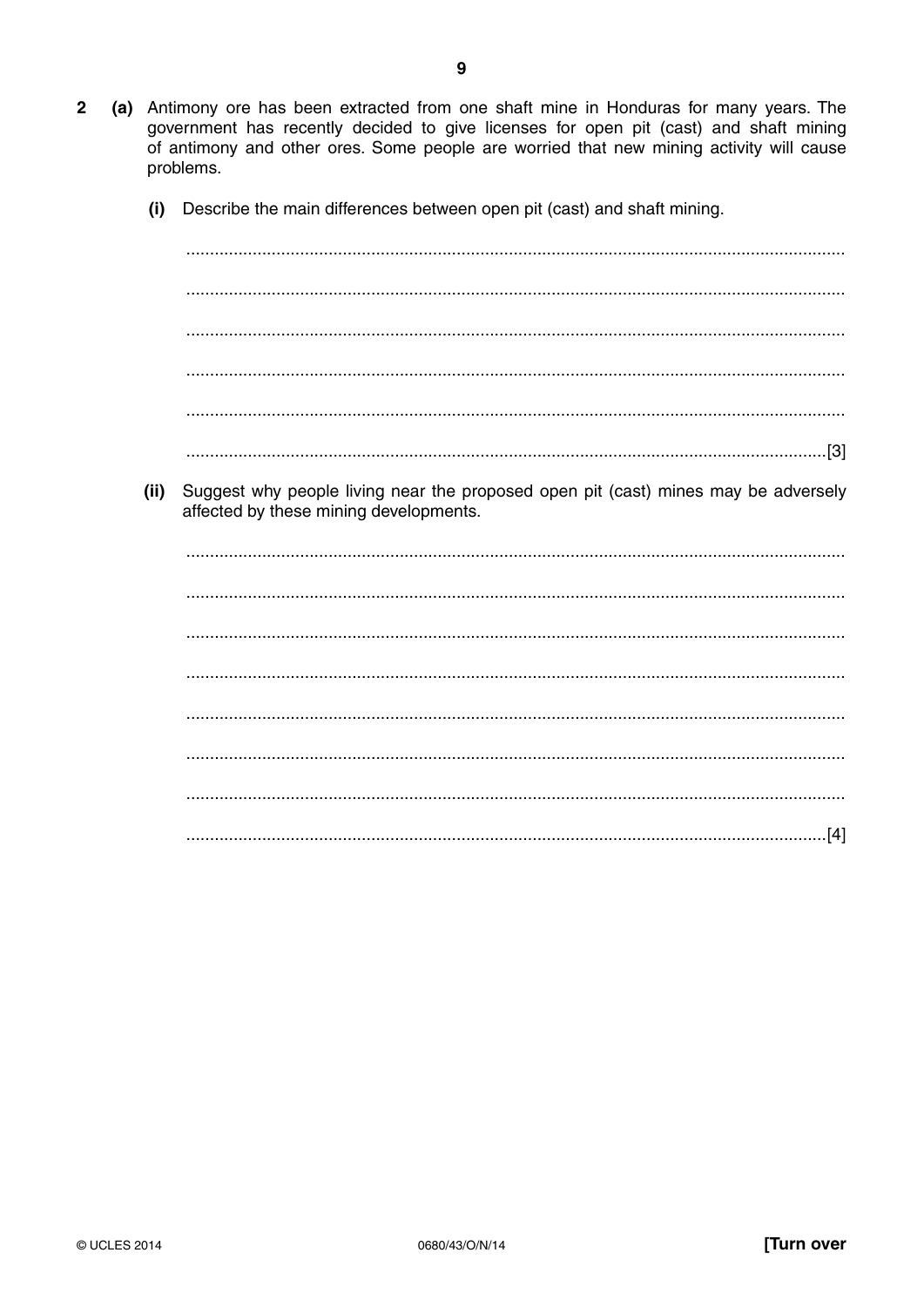- $\mathbf 2$ (a) Antimony ore has been extracted from one shaft mine in Honduras for many years. The government has recently decided to give licenses for open pit (cast) and shaft mining of antimony and other ores. Some people are worried that new mining activity will cause problems.
	- $(i)$ Describe the main differences between open pit (cast) and shaft mining.

(ii) Suggest why people living near the proposed open pit (cast) mines may be adversely affected by these mining developments.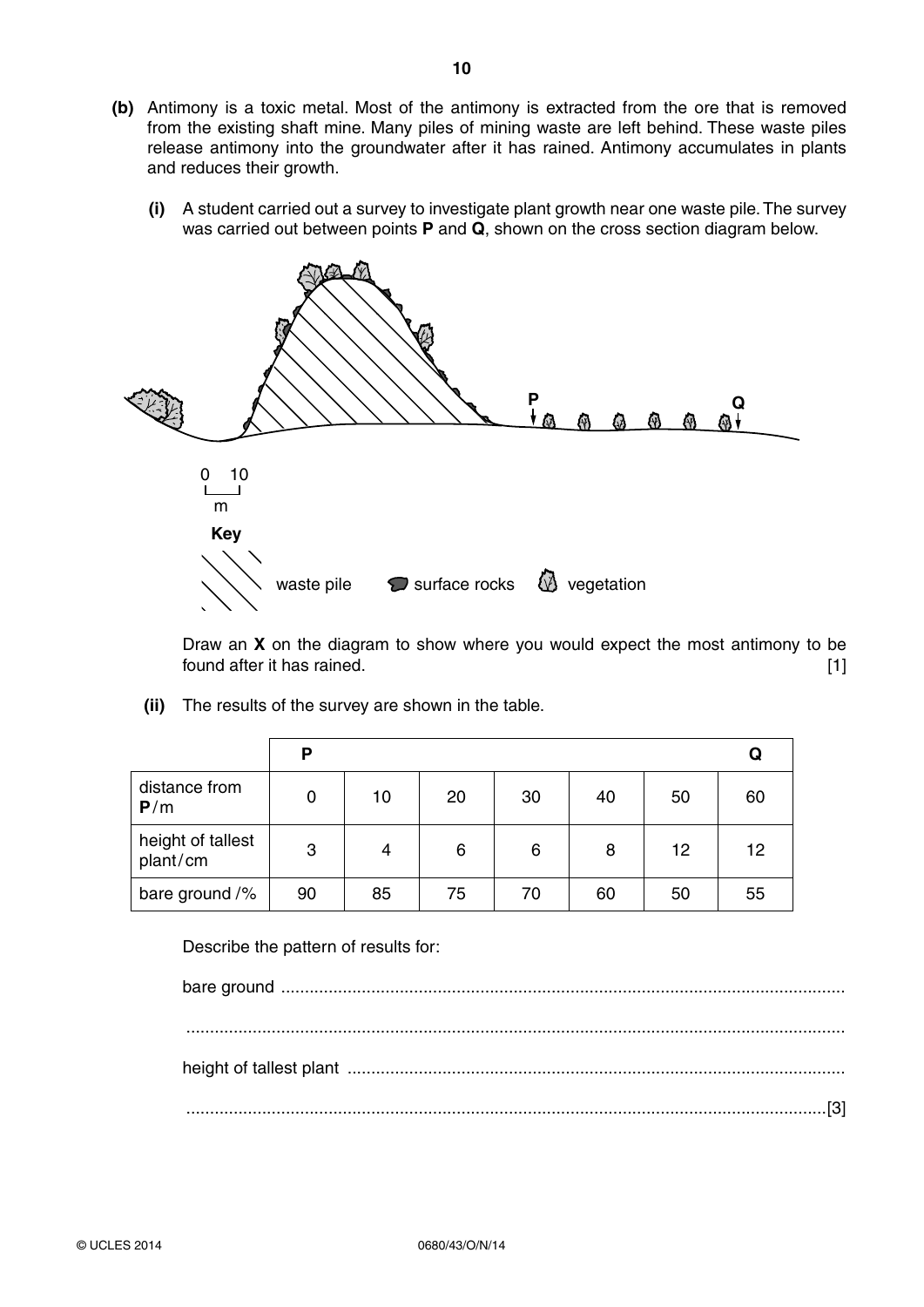- **(b)** Antimony is a toxic metal. Most of the antimony is extracted from the ore that is removed from the existing shaft mine. Many piles of mining waste are left behind. These waste piles release antimony into the groundwater after it has rained. Antimony accumulates in plants and reduces their growth.
	- **(i)** A student carried out a survey to investigate plant growth near one waste pile. The survey was carried out between points **P** and **Q**, shown on the cross section diagram below.



Draw an **X** on the diagram to show where you would expect the most antimony to be found after it has rained. [1]

- **P Q** distance from **P**/m 0 10 20 30 40 50 60 height of tallest plant/cm  $\begin{vmatrix} 3 & 4 & 6 & 6 \end{vmatrix}$  6 8 12 12 bare ground  $\frac{1}{6}$  | 90 | 85 | 75 | 70 | 60 | 50 | 55
- **(ii)** The results of the survey are shown in the table.

Describe the pattern of results for:

| $\begin{minipage}{.4\linewidth} \begin{tabular}{l} \hline \textbf{0} & \textbf{0} & \textbf{0} \\ \hline \textbf{1} & \textbf{0} & \textbf{0} \\ \textbf{0} & \textbf{0} & \textbf{0} \\ \end{tabular} \end{minipage} \begin{minipage}{.4\linewidth} \begin{tabular}{l} \hline \textbf{1} & \textbf{0} \\ \textbf{0} & \textbf{0} \\ \end{tabular} \end{minipage} \begin{minipage}{.4\linewidth} \begin{tabular}{l} \hline \textbf{2} & \textbf{0} \\ \textbf{1} & \textbf{0} \\ \end{$ |  |  |
|-----------------------------------------------------------------------------------------------------------------------------------------------------------------------------------------------------------------------------------------------------------------------------------------------------------------------------------------------------------------------------------------------------------------------------------------------------------------------------------------|--|--|
|                                                                                                                                                                                                                                                                                                                                                                                                                                                                                         |  |  |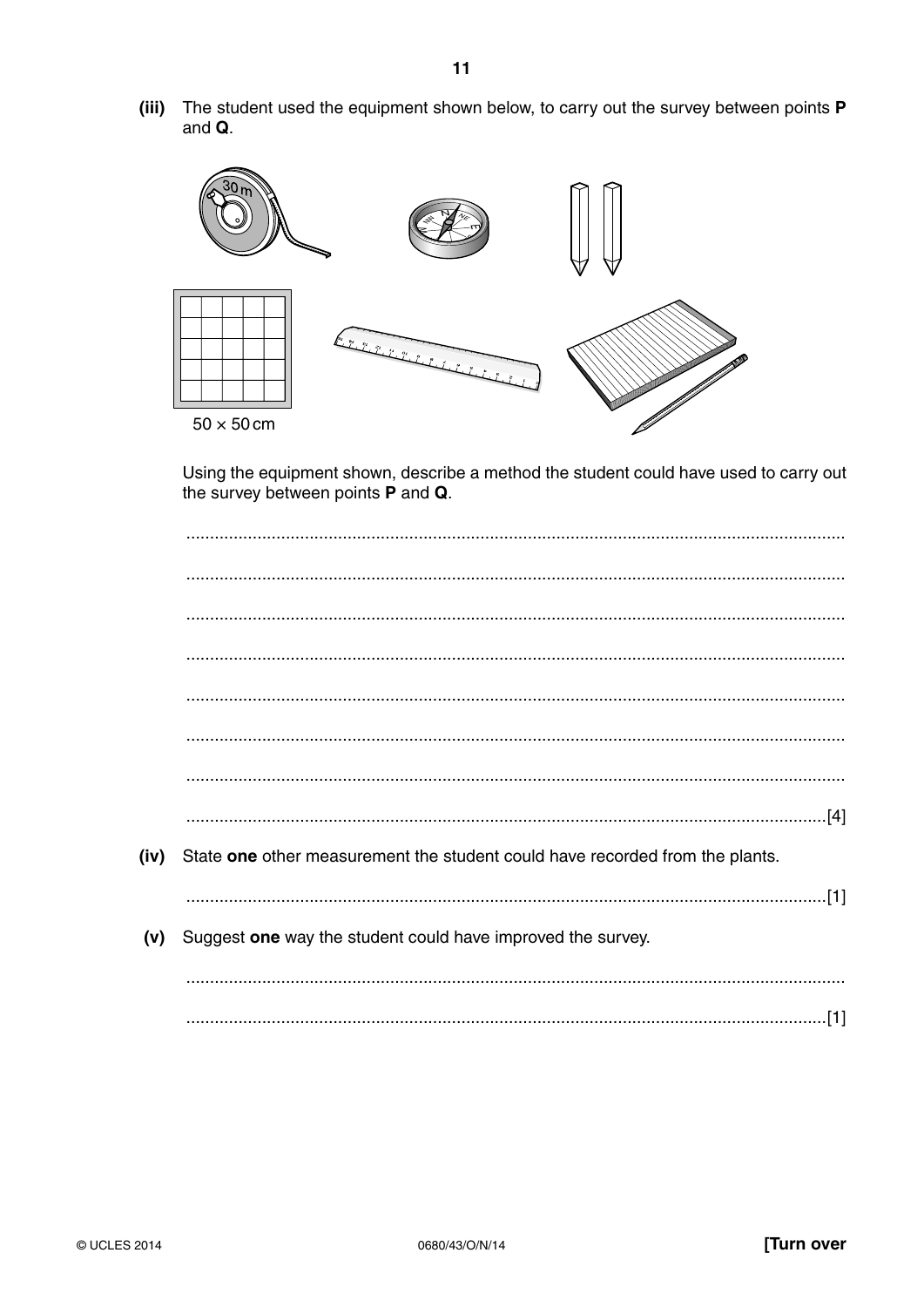(iii) The student used the equipment shown below, to carry out the survey between points P and  $Q$ .



Using the equipment shown, describe a method the student could have used to carry out the survey between points P and Q.

| (iv) | State one other measurement the student could have recorded from the plants. |
|------|------------------------------------------------------------------------------|
|      | $\lfloor 1 \rfloor$                                                          |
| (v)  | Suggest one way the student could have improved the survey.                  |
|      |                                                                              |
|      |                                                                              |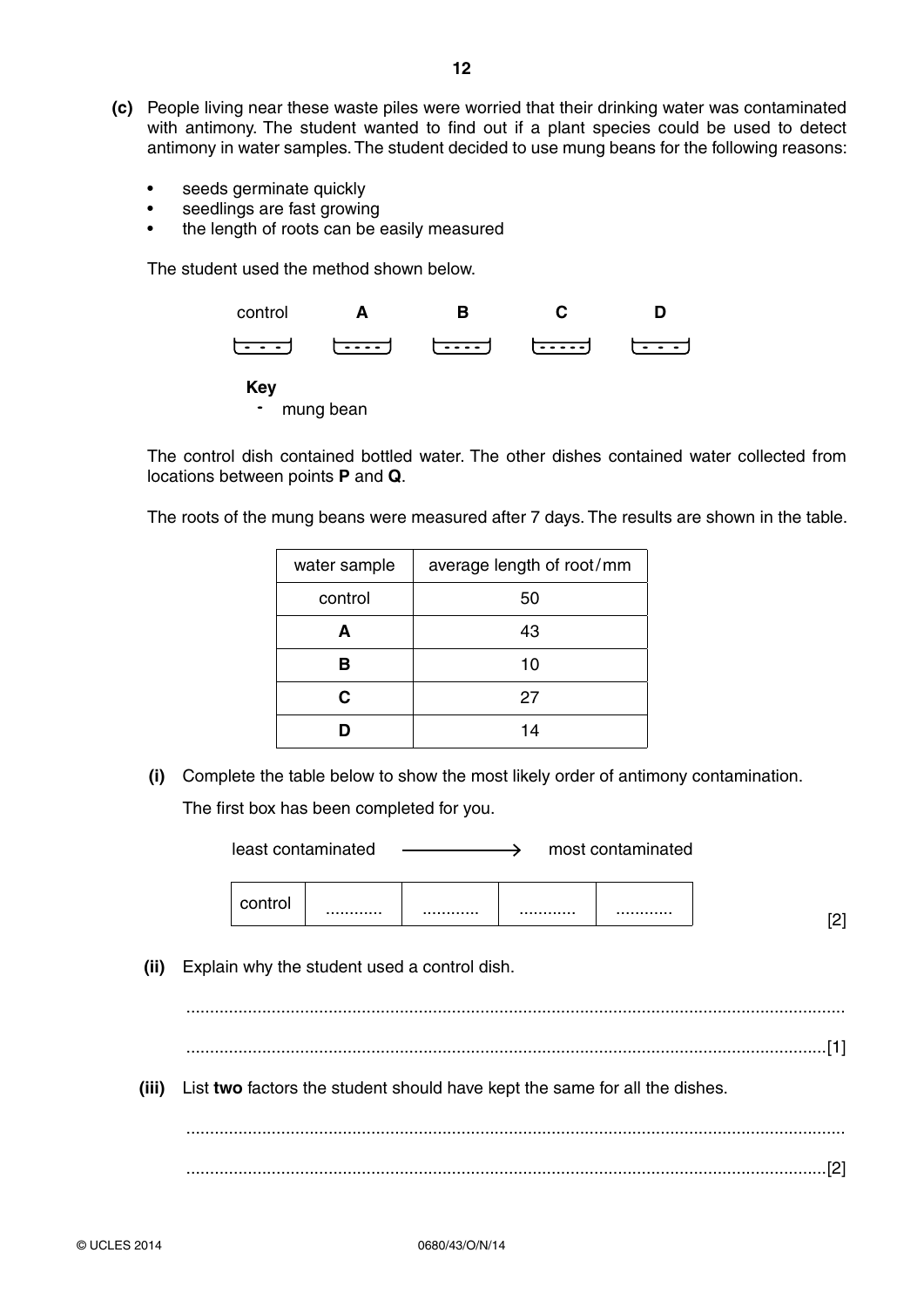- **(c)** People living near these waste piles were worried that their drinking water was contaminated with antimony. The student wanted to find out if a plant species could be used to detect antimony in water samples. The student decided to use mung beans for the following reasons:
	- seeds germinate quickly
	- seedlings are fast growing
	- the length of roots can be easily measured

The student used the method shown below.



The control dish contained bottled water. The other dishes contained water collected from locations between points **P** and **Q**.

The roots of the mung beans were measured after 7 days. The results are shown in the table.

| water sample | average length of root/mm |
|--------------|---------------------------|
| control      | 50                        |
| А            | 43                        |
| В            | 10                        |
| r.           | 27                        |
|              | 14                        |

 **(i)** Complete the table below to show the most likely order of antimony contamination. The first box has been completed for you.

least contaminated most contaminated

| Teast contaminated |      | THUST CONTRIBUTIONS |   |
|--------------------|------|---------------------|---|
| control            | <br> | <br>                | ┕ |

 **(ii)** Explain why the student used a control dish.

 ........................................................................................................................................... .......................................................................................................................................[1]

 **(iii)** List **two** factors the student should have kept the same for all the dishes.

 ........................................................................................................................................... .......................................................................................................................................[2]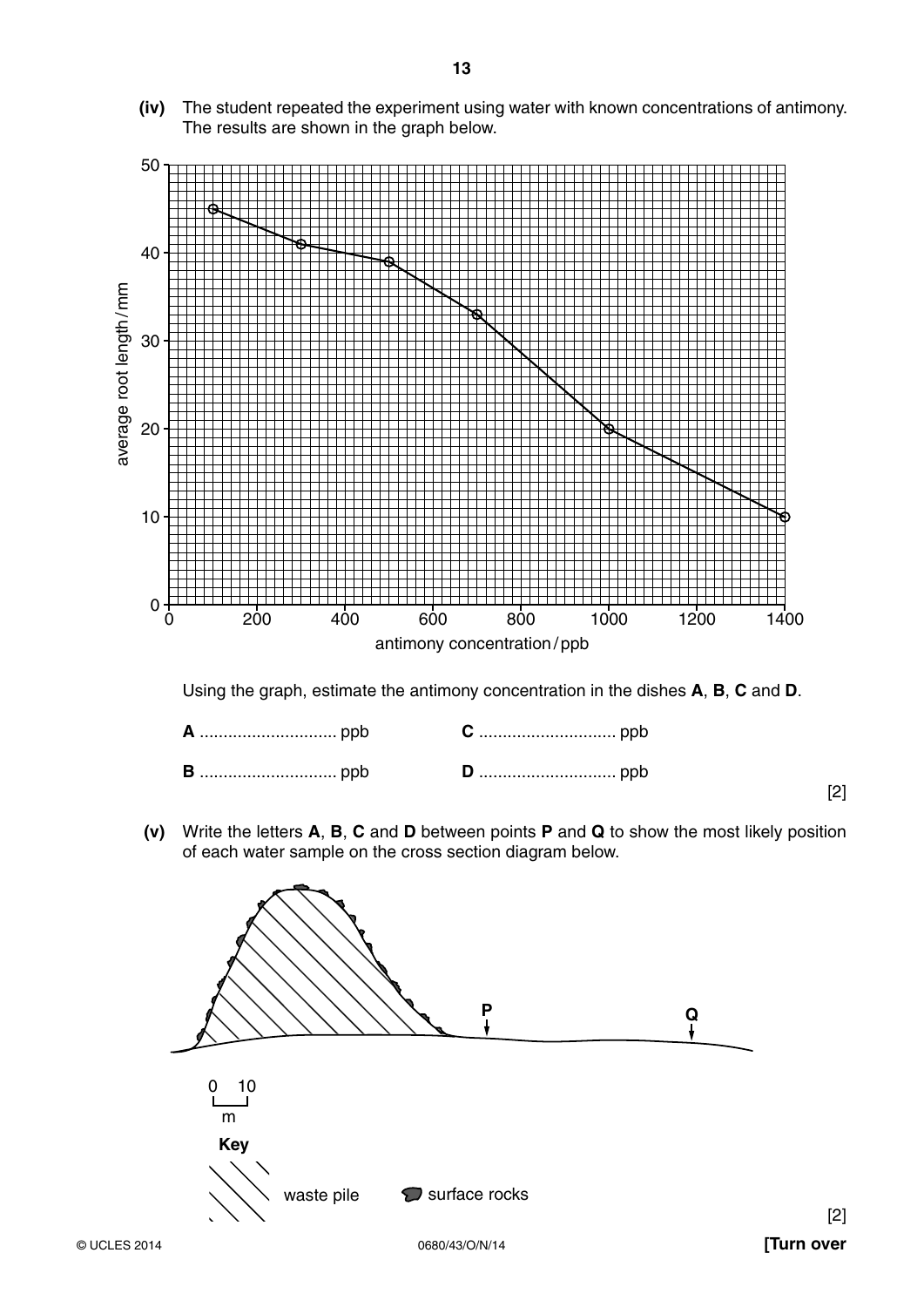**(iv)** The student repeated the experiment using water with known concentrations of antimony. The results are shown in the graph below.



Using the graph, estimate the antimony concentration in the dishes **A**, **B**, **C** and **D**.

| ppb  ppb |  |
|----------|--|

 **(v)** Write the letters **A**, **B**, **C** and **D** between points **P** and **Q** to show the most likely position of each water sample on the cross section diagram below.

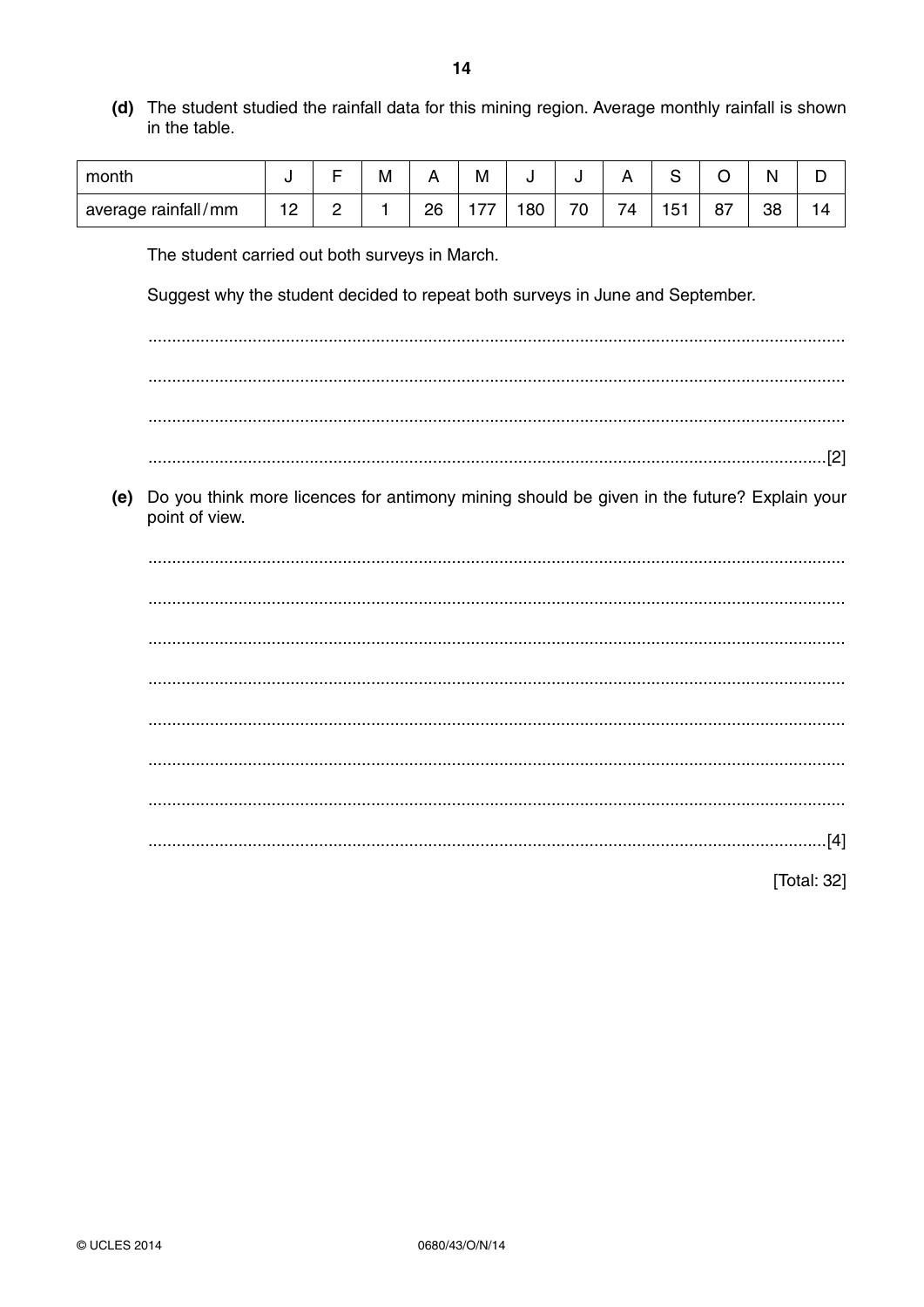(d) The student studied the rainfall data for this mining region. Average monthly rainfall is shown in the table.

| month               |                                 | - | M |    | M  |    |    |    |     |   | N  |   |
|---------------------|---------------------------------|---|---|----|----|----|----|----|-----|---|----|---|
| average rainfall/mm | 1 ∩<br>$\overline{\phantom{a}}$ |   |   | 26 | -- | 80 | 70 | 74 | 151 | ᇬ | 38 | 4 |

The student carried out both surveys in March.

Suggest why the student decided to repeat both surveys in June and September.

(e) Do you think more licences for antimony mining should be given in the future? Explain your point of view.

|  | [4] |
|--|-----|

[Total: 32]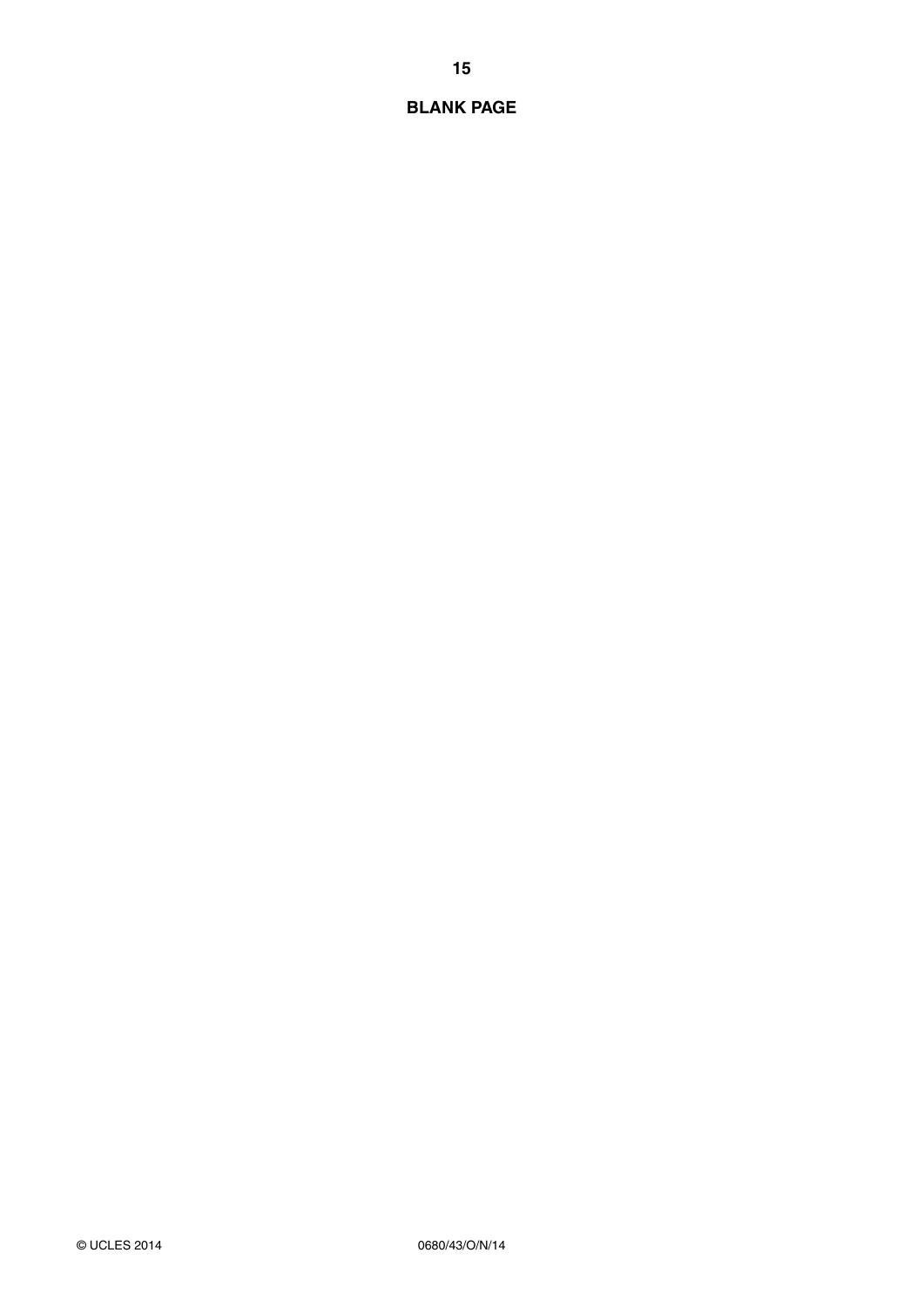## **BLANK PAGE**